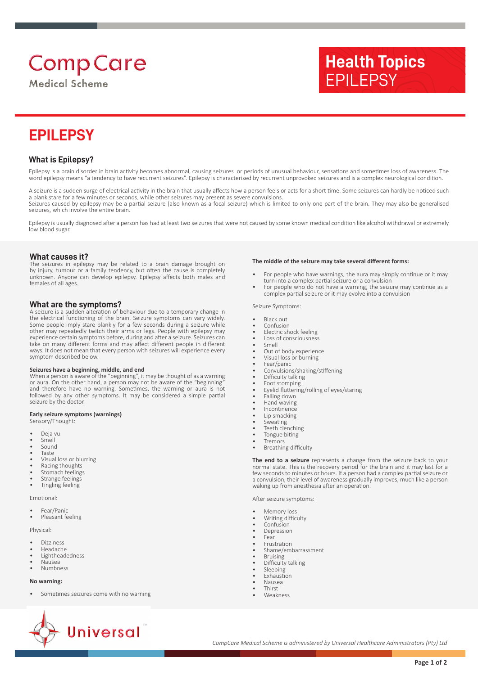# **Comp Care**

**Medical Scheme** 

## **EPILEPSY**

## **What is Epilepsy?**

Epilepsy is a brain disorder in brain activity becomes abnormal, causing seizures or periods of unusual behaviour, sensations and sometimes loss of awareness. The word epilepsy means "a tendency to have recurrent seizures". Epilepsy is characterised by recurrent unprovoked seizures and is a complex neurological condition.

A seizure is a sudden surge of electrical activity in the brain that usually affects how a person feels or acts for a short time. Some seizures can hardly be noticed such a blank stare for a few minutes or seconds, while other seizures may present as severe convulsions. Seizures caused by epilepsy may be a partial seizure (also known as a focal seizure) which is limited to only one part of the brain. They may also be generalised seizures, which involve the entire brain.

Epilepsy is usually diagnosed after a person has had at least two seizures that were not caused by some known medical condition like alcohol withdrawal or extremely low blood sugar.

#### **What causes it?**

The seizures in epilepsy may be related to a brain damage brought on by injury, tumour or a family tendency, but often the cause is completely unknown. Anyone can develop epilepsy. Epilepsy affects both males and females of all ages.

#### **What are the symptoms?**

A seizure is a sudden alteration of behaviour due to a temporary change in the electrical functioning of the brain. Seizure symptoms can vary widely. Some people imply stare blankly for a few seconds during a seizure while other may repeatedly twitch their arms or legs. People with epilepsy may experience certain symptoms before, during and after a seizure. Seizures can take on many different forms and may affect different people in different ways. It does not mean that every person with seizures will experience every symptom described below.

**Seizures have a beginning, middle, and end** When a person is aware of the "beginning", it may be thought of as a warning or aura. On the other hand, a person may not be aware of the "beginning" and therefore have no warning. Sometimes, the warning or aura is not followed by any other symptoms. It may be considered a simple partial seizure by the doctor.

#### **Early seizure symptoms (warnings)**

- Sensory/Thought:
- Deja vu
- Smell
- Sound
- Taste
- Visual loss or blurring • Racing thoughts
- Stomach feelings
- Strange feelings
- Tingling feeling

Emotional:

- Fear/Panic
- Pleasant feeling

Physical:

- Dizziness • Headache
- Lightheadedness
- Nausea
- Numbness

#### **No warning:**

• Sometimes seizures come with no warning

- **The middle of the seizure may take several different forms:**
- For people who have warnings, the aura may simply continue or it may turn into a complex partial seizure or a convulsion

**Health Topics**

EPILEPSY

• For people who do not have a warning, the seizure may continue as a complex partial seizure or it may evolve into a convulsion

Seizure Symptoms:

- Black out
- **Confusion**
- Electric shock feeling Loss of consciousness
- Smell
- Out of body experience
- Visual loss or burning
- Fear/panic • Convulsions/shaking/stiffening
- Difficulty talking
- Foot stomping
- Eyelid fluttering/rolling of eyes/staring
- Falling down
- Hand waving
- **Incontinence** Lip smacking
- **Sweating**
- Teeth clenching
- Tongue biting
- **Tremors**
- Breathing difficulty

**The end to a seizure** represents a change from the seizure back to your normal state. This is the recovery period for the brain and it may last for a few seconds to minutes or hours. If a person had a complex partial seizure or a convulsion, their level of awareness gradually improves, much like a person waking up from anesthesia after an operation.

After seizure symptoms:

- Memory loss
- Writing difficulty
- Confusion
- **Depression**
- Fear
- **Frustration**
- Shame/embarrassment
- Bruising • Difficulty talking
- Sleeping
- **Exhaustion**
- Nausea
- **Thirst**
- Weakness